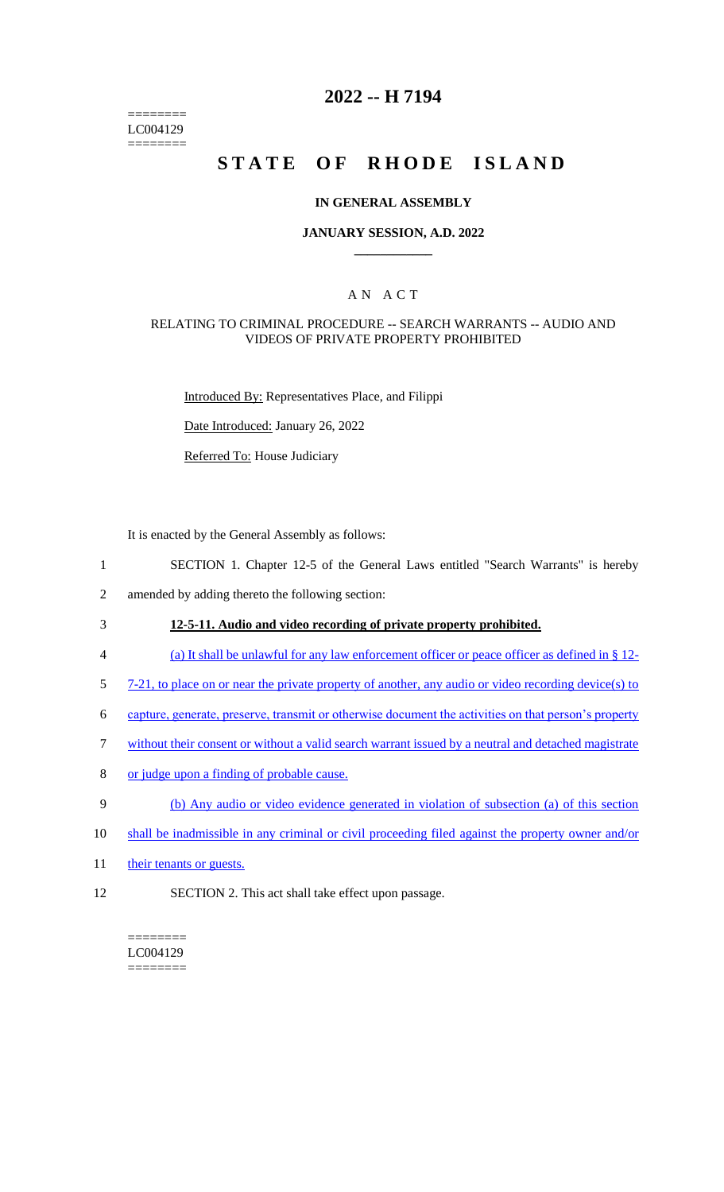======== LC004129 ========

# **2022 -- H 7194**

# **STATE OF RHODE ISLAND**

## **IN GENERAL ASSEMBLY**

## **JANUARY SESSION, A.D. 2022 \_\_\_\_\_\_\_\_\_\_\_\_**

## A N A C T

## RELATING TO CRIMINAL PROCEDURE -- SEARCH WARRANTS -- AUDIO AND VIDEOS OF PRIVATE PROPERTY PROHIBITED

Introduced By: Representatives Place, and Filippi

Date Introduced: January 26, 2022

Referred To: House Judiciary

It is enacted by the General Assembly as follows:

- 1 SECTION 1. Chapter 12-5 of the General Laws entitled "Search Warrants" is hereby
- 2 amended by adding thereto the following section:

## 3 **12-5-11. Audio and video recording of private property prohibited.**

- 4 (a) It shall be unlawful for any law enforcement officer or peace officer as defined in § 12-
- 5 7-21, to place on or near the private property of another, any audio or video recording device(s) to
- 6 capture, generate, preserve, transmit or otherwise document the activities on that person's property
- 7 without their consent or without a valid search warrant issued by a neutral and detached magistrate
- 8 or judge upon a finding of probable cause.
- 9 (b) Any audio or video evidence generated in violation of subsection (a) of this section
- 10 shall be inadmissible in any criminal or civil proceeding filed against the property owner and/or
- 11 their tenants or guests.
- 12 SECTION 2. This act shall take effect upon passage.

#### ======== LC004129 ========